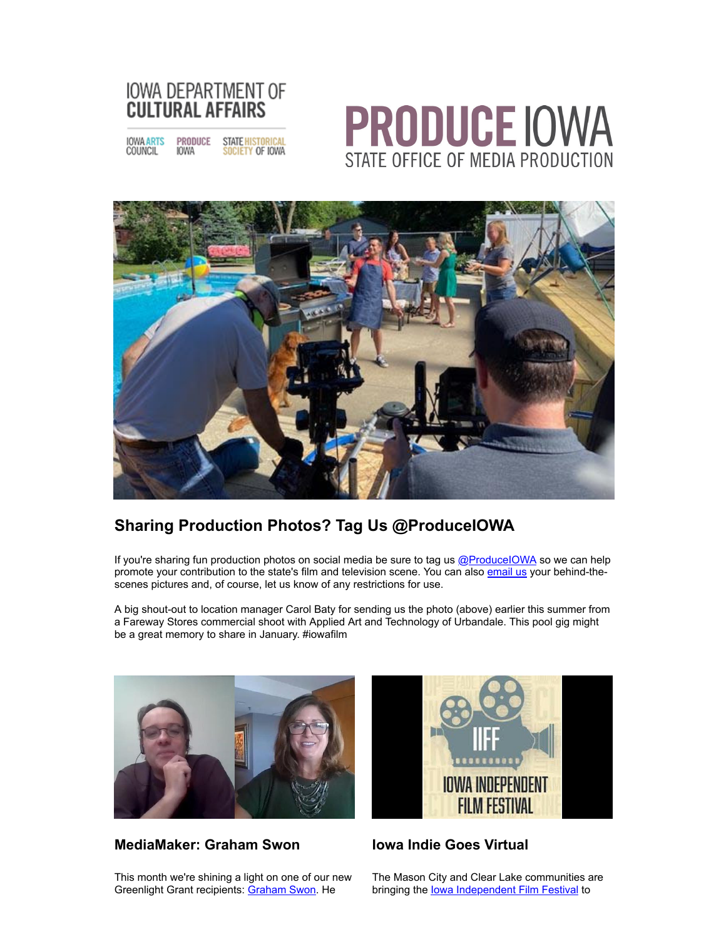

**IOWA ARTS** PRODUCE STATE HISTORICAL COUNCIL **IOWA** SOCIETY OF IOWA

## **PRODUCE IOWA** STATE OFFICE OF MEDIA PRODUCTION



#### **Sharing Production Photos? Tag Us @ProduceIOWA**

If you're sharing fun production photos on social media be sure to tag us [@ProduceIOWA](http://r20.rs6.net/tn.jsp?f=001WUUrEAt8chW-6r0e1hun370sP_YvNfe6j_FtsPD77A0QJQbAFFpEmAvg5q3eLTPRRmFkgeJ6PnGcy6Z12-g6J90Bghfy-VGMD6ruhahDAFwUqpmH1dfOyUmzqEm2E4BU-SDebn1HkEejRmnycspAijSA-pUUWgfol-W-JWXhZEg=&c=_tiwQWtejxwIkuVTm2tx86WcwvrgK_rzKngyAj5ieW-GV5He3livNw==&ch=Kf9LO5-3jtZssbHSfegevDtbH-KSqGAmR8oGv6JVnYSc0-I06hX6EA==) so we can help promote your contribution to the state's film and television scene. You can also [email us](mailto:liz.gilman@iowa.gov) your behind-thescenes pictures and, of course, let us know of any restrictions for use.

A big shout-out to location manager Carol Baty for sending us the photo (above) earlier this summer from a Fareway Stores commercial shoot with Applied Art and Technology of Urbandale. This pool gig might be a great memory to share in January. #iowafilm



#### **MediaMaker: Graham Swon**

This month we're shining a light on one of our new Greenlight Grant recipients: [Graham Swon.](http://r20.rs6.net/tn.jsp?f=001WUUrEAt8chW-6r0e1hun370sP_YvNfe6j_FtsPD77A0QJQbAFFpEmAvg5q3eLTPROOq7mljYQhvQR_PpIF4Bv6YUx5JSY5eh49mvJhLZUaTj4NLzJV8wieakNWJxoOcmTaB_3CLW_-RgSdt0lX8k7g==&c=_tiwQWtejxwIkuVTm2tx86WcwvrgK_rzKngyAj5ieW-GV5He3livNw==&ch=Kf9LO5-3jtZssbHSfegevDtbH-KSqGAmR8oGv6JVnYSc0-I06hX6EA==) He



#### **Iowa Indie Goes Virtual**

The Mason City and Clear Lake communities are bringing the lowa Independent Film Festival to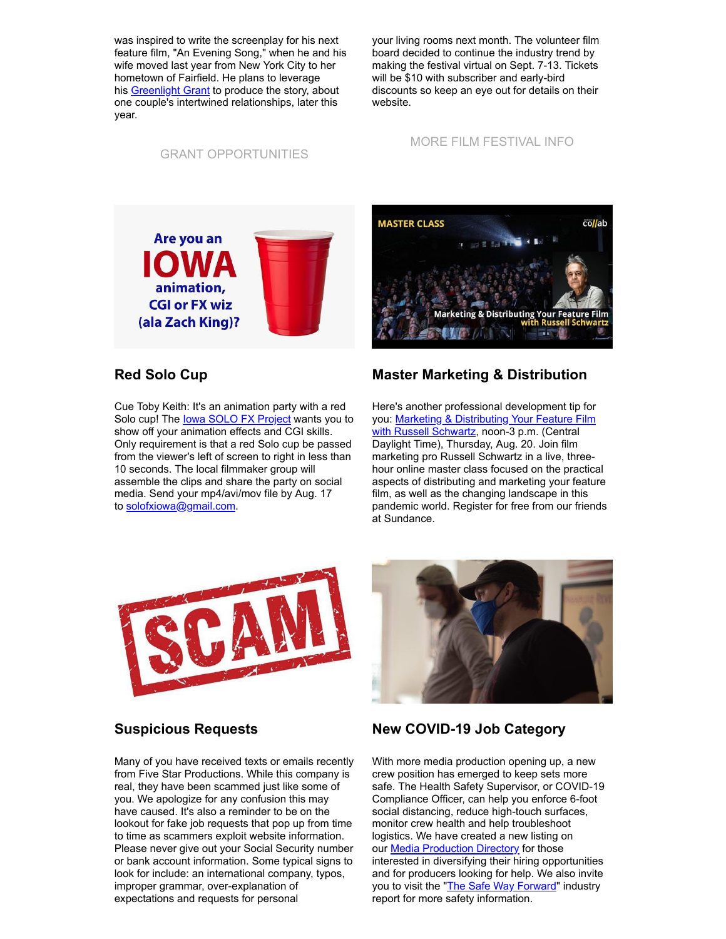was inspired to write the screenplay for his next feature film, "An Evening Song," when he and his wife moved last year from New York City to her hometown of Fairfield. He plans to leverage his **[Greenlight Grant](http://r20.rs6.net/tn.jsp?f=001WUUrEAt8chW-6r0e1hun370sP_YvNfe6j_FtsPD77A0QJQbAFFpEmOmXlATzxu_WpkjhtDXxdualvFmQxhbkMjt5M7mqnnVPyemP14vJ-mi1d3Du4tKMAKQzE7nMsAXj7hCYzc_G91AyMmPeHOaLT3ZKPwxNub4TPm66TiX0lfIO_VP02daZXbqTG_yxHRdfZxUBtMLa1DLIVh1Akht-4A==&c=_tiwQWtejxwIkuVTm2tx86WcwvrgK_rzKngyAj5ieW-GV5He3livNw==&ch=Kf9LO5-3jtZssbHSfegevDtbH-KSqGAmR8oGv6JVnYSc0-I06hX6EA==)** to produce the story, about one couple's intertwined relationships, later this year.

your living rooms next month. The volunteer film board decided to continue the industry trend by making the festival virtual on Sept. 7-13. Tickets will be \$10 with subscriber and early-bird discounts so keep an eye out for details on their website.

#### [GRANT OPPORTUNITIES](http://r20.rs6.net/tn.jsp?f=001WUUrEAt8chW-6r0e1hun370sP_YvNfe6j_FtsPD77A0QJQbAFFpEmAgl0bzPFye_oTGVUXjcMBl0twECq3EcHyBfpftn3Txr33uWt85j6QAEsL6qC0Pm_Z7udc53G86nPKTMK-D56aLAJ4SB5zvaY_mrKWBMHMUpeCmLDCVEyJe5_woWFAEYDpKKjLwiRG9X&c=_tiwQWtejxwIkuVTm2tx86WcwvrgK_rzKngyAj5ieW-GV5He3livNw==&ch=Kf9LO5-3jtZssbHSfegevDtbH-KSqGAmR8oGv6JVnYSc0-I06hX6EA==)

[MORE FILM FESTIVAL INFO](http://r20.rs6.net/tn.jsp?f=001WUUrEAt8chW-6r0e1hun370sP_YvNfe6j_FtsPD77A0QJQbAFFpEmMX39W9gcIlwRbdkcA3YzpCaXazlCK3c4mmzOq40PV9D0c2hoPgK7VIZRCe9m7V7CoRG-FFy4fTQT8VnXeWW768FJ3_nPanUPRkn8FFFXdJnjqLJP68luSI=&c=_tiwQWtejxwIkuVTm2tx86WcwvrgK_rzKngyAj5ieW-GV5He3livNw==&ch=Kf9LO5-3jtZssbHSfegevDtbH-KSqGAmR8oGv6JVnYSc0-I06hX6EA==)



# **MASTER CLASS** collab **Marketing & Distributing Your F**

#### **Red Solo Cup**

Cue Toby Keith: It's an animation party with a red Solo cup! The lowa SOLO FX Project wants you to show off your animation effects and CGI skills. Only requirement is that a red Solo cup be passed from the viewer's left of screen to right in less than 10 seconds. The local filmmaker group will assemble the clips and share the party on social media. Send your mp4/avi/mov file by Aug. 17 to [solofxiowa@gmail.com](mailto:solofxiowa@gmail.com).

#### **Master Marketing & Distribution**

Here's another professional development tip for you: Marketing & Distributing Your Feature Film [with Russell Schwartz, noon-3 p.m. \(Central](http://r20.rs6.net/tn.jsp?f=001WUUrEAt8chW-6r0e1hun370sP_YvNfe6j_FtsPD77A0QJQbAFFpEmAvg5q3eLTPR2lcaPSCU6vnT8AlYqh_bk-Y7Bcruu4tQpgV048QnwW49dmlEp-XEKozaNnXDSyar3q179MFtFy6K_CtcqozbtUH_FltU4fHpJw4UAXQmbhdG9rQ7poDzoyE-qPsXsSAC9SqRsSScGtwGthkJfX1hhfMGXPgDzEOobtA8ca0t7FM=&c=_tiwQWtejxwIkuVTm2tx86WcwvrgK_rzKngyAj5ieW-GV5He3livNw==&ch=Kf9LO5-3jtZssbHSfegevDtbH-KSqGAmR8oGv6JVnYSc0-I06hX6EA==) Daylight Time), Thursday, Aug. 20. Join film marketing pro Russell Schwartz in a live, threehour online master class focused on the practical aspects of distributing and marketing your feature film, as well as the changing landscape in this pandemic world. Register for free from our friends at Sundance.





#### **Suspicious Requests**

Many of you have received texts or emails recently from Five Star Productions. While this company is real, they have been scammed just like some of you. We apologize for any confusion this may have caused. It's also a reminder to be on the lookout for fake job requests that pop up from time to time as scammers exploit website information. Please never give out your Social Security number or bank account information. Some typical signs to look for include: an international company, typos, improper grammar, over-explanation of expectations and requests for personal

#### **New COVID-19 Job Category**

With more media production opening up, a new crew position has emerged to keep sets more safe. The Health Safety Supervisor, or COVID-19 Compliance Officer, can help you enforce 6-foot social distancing, reduce high-touch surfaces, monitor crew health and help troubleshoot logistics. We have created a new listing on our **[Media Production Directory](http://r20.rs6.net/tn.jsp?f=001WUUrEAt8chW-6r0e1hun370sP_YvNfe6j_FtsPD77A0QJQbAFFpEmF8W3XOgqSOb73Wjm6x4tBwZ0BhK6PpTWmUmJP6s270xbHIZJV2_HTyFcXNEvkofkuyVYO-rMtqARwsrXtG07NfAnot6OGMQMZCpEXunRKtnDXxNYYx6ekU=&c=_tiwQWtejxwIkuVTm2tx86WcwvrgK_rzKngyAj5ieW-GV5He3livNw==&ch=Kf9LO5-3jtZssbHSfegevDtbH-KSqGAmR8oGv6JVnYSc0-I06hX6EA==)** for those interested in diversifying their hiring opportunities and for producers looking for help. We also invite you to visit the ["The Safe Way Forward](http://r20.rs6.net/tn.jsp?f=001WUUrEAt8chW-6r0e1hun370sP_YvNfe6j_FtsPD77A0QJQbAFFpEmAvg5q3eLTPRdfvKGHW-BQmKTBgZJVEhB2zgC6fHZgOf2arCbOxMm6Fvl_pBmUNP336MPhD9LQVlI5uR7JTudzCaSXqGosiEnxknQvZBIlqE_6SCFJhc5gAcJHN0LRMn-no_SBgq7rloJ6uF7zsYH117QaEm-8OLlRYbCAO8_s0VvAFrIrvTLrw=&c=_tiwQWtejxwIkuVTm2tx86WcwvrgK_rzKngyAj5ieW-GV5He3livNw==&ch=Kf9LO5-3jtZssbHSfegevDtbH-KSqGAmR8oGv6JVnYSc0-I06hX6EA==)" industry report for more safety information.